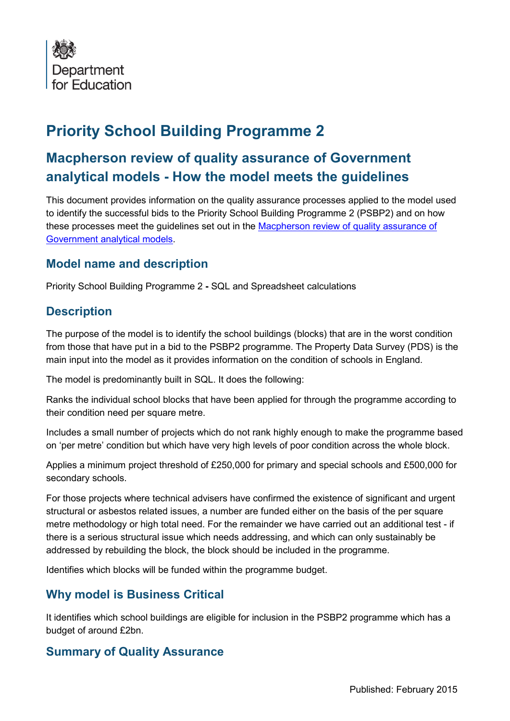

# **Priority School Building Programme 2**

## **Macpherson review of quality assurance of Government analytical models - How the model meets the guidelines**

This document provides information on the quality assurance processes applied to the model used to identify the successful bids to the Priority School Building Programme 2 (PSBP2) and on how these processes meet the guidelines set out in the [Macpherson review of quality assurance of](https://www.gov.uk/government/publications/review-of-quality-assurance-of-government-models)  [Government analytical models.](https://www.gov.uk/government/publications/review-of-quality-assurance-of-government-models)

#### **Model name and description**

Priority School Building Programme 2 **-** SQL and Spreadsheet calculations

#### **Description**

The purpose of the model is to identify the school buildings (blocks) that are in the worst condition from those that have put in a bid to the PSBP2 programme. The Property Data Survey (PDS) is the main input into the model as it provides information on the condition of schools in England.

The model is predominantly built in SQL. It does the following:

Ranks the individual school blocks that have been applied for through the programme according to their condition need per square metre.

Includes a small number of projects which do not rank highly enough to make the programme based on 'per metre' condition but which have very high levels of poor condition across the whole block.

Applies a minimum project threshold of £250,000 for primary and special schools and £500,000 for secondary schools.

For those projects where technical advisers have confirmed the existence of significant and urgent structural or asbestos related issues, a number are funded either on the basis of the per square metre methodology or high total need. For the remainder we have carried out an additional test - if there is a serious structural issue which needs addressing, and which can only sustainably be addressed by rebuilding the block, the block should be included in the programme.

Identifies which blocks will be funded within the programme budget.

#### **Why model is Business Critical**

It identifies which school buildings are eligible for inclusion in the PSBP2 programme which has a budget of around £2bn.

#### **Summary of Quality Assurance**